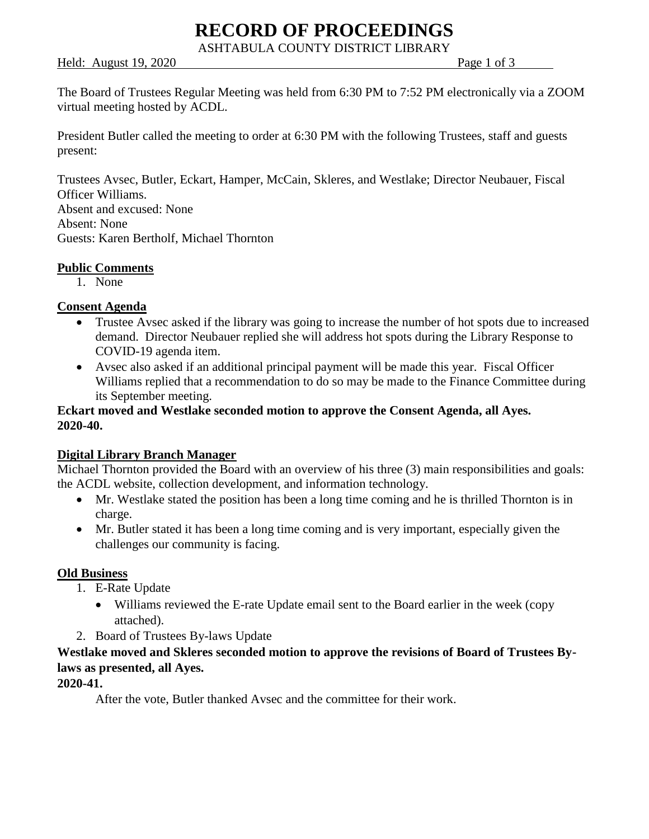# **RECORD OF PROCEEDINGS**

ASHTABULA COUNTY DISTRICT LIBRARY

Held: August 19, 2020 **Page 1 of 3** 

The Board of Trustees Regular Meeting was held from 6:30 PM to 7:52 PM electronically via a ZOOM virtual meeting hosted by ACDL.

President Butler called the meeting to order at 6:30 PM with the following Trustees, staff and guests present:

Trustees Avsec, Butler, Eckart, Hamper, McCain, Skleres, and Westlake; Director Neubauer, Fiscal Officer Williams. Absent and excused: None Absent: None Guests: Karen Bertholf, Michael Thornton

## **Public Comments**

1. None

### **Consent Agenda**

- Trustee Avsec asked if the library was going to increase the number of hot spots due to increased demand. Director Neubauer replied she will address hot spots during the Library Response to COVID-19 agenda item.
- Avsec also asked if an additional principal payment will be made this year. Fiscal Officer Williams replied that a recommendation to do so may be made to the Finance Committee during its September meeting.

## **Eckart moved and Westlake seconded motion to approve the Consent Agenda, all Ayes. 2020-40.**

## **Digital Library Branch Manager**

Michael Thornton provided the Board with an overview of his three (3) main responsibilities and goals: the ACDL website, collection development, and information technology.

- Mr. Westlake stated the position has been a long time coming and he is thrilled Thornton is in charge.
- Mr. Butler stated it has been a long time coming and is very important, especially given the challenges our community is facing.

#### **Old Business**

- 1. E-Rate Update
	- Williams reviewed the E-rate Update email sent to the Board earlier in the week (copy attached).
- 2. Board of Trustees By-laws Update

## **Westlake moved and Skleres seconded motion to approve the revisions of Board of Trustees Bylaws as presented, all Ayes.**

#### **2020-41.**

After the vote, Butler thanked Avsec and the committee for their work.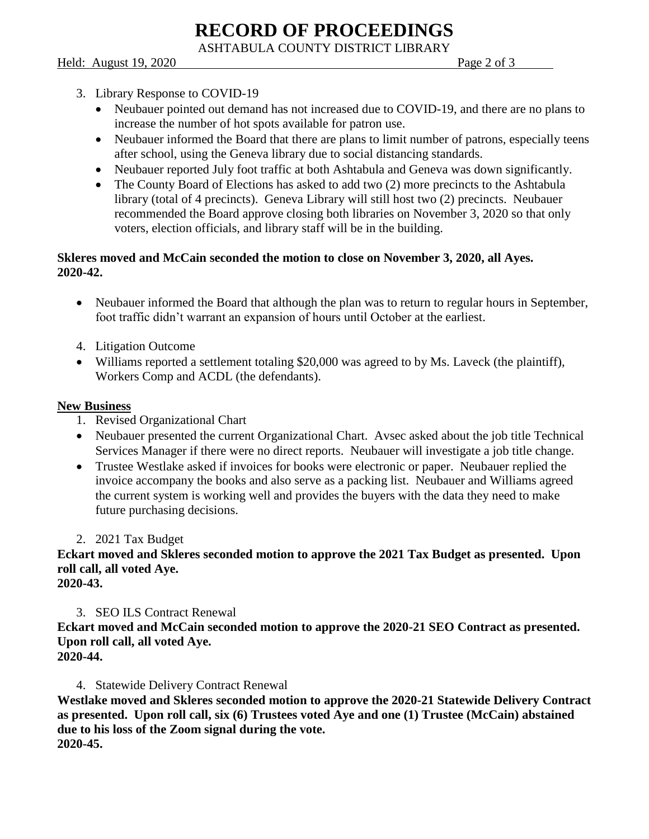**RECORD OF PROCEEDINGS**

ASHTABULA COUNTY DISTRICT LIBRARY

Held: August 19, 2020 **Page 2 of 3** 

- 3. Library Response to COVID-19
	- Neubauer pointed out demand has not increased due to COVID-19, and there are no plans to increase the number of hot spots available for patron use.
	- Neubauer informed the Board that there are plans to limit number of patrons, especially teens after school, using the Geneva library due to social distancing standards.
	- Neubauer reported July foot traffic at both Ashtabula and Geneva was down significantly.
	- The County Board of Elections has asked to add two (2) more precincts to the Ashtabula library (total of 4 precincts). Geneva Library will still host two (2) precincts. Neubauer recommended the Board approve closing both libraries on November 3, 2020 so that only voters, election officials, and library staff will be in the building.

## **Skleres moved and McCain seconded the motion to close on November 3, 2020, all Ayes. 2020-42.**

- Neubauer informed the Board that although the plan was to return to regular hours in September, foot traffic didn't warrant an expansion of hours until October at the earliest.
- 4. Litigation Outcome
- Williams reported a settlement totaling \$20,000 was agreed to by Ms. Laveck (the plaintiff), Workers Comp and ACDL (the defendants).

## **New Business**

- 1. Revised Organizational Chart
- Neubauer presented the current Organizational Chart. Avsec asked about the job title Technical Services Manager if there were no direct reports. Neubauer will investigate a job title change.
- Trustee Westlake asked if invoices for books were electronic or paper. Neubauer replied the invoice accompany the books and also serve as a packing list. Neubauer and Williams agreed the current system is working well and provides the buyers with the data they need to make future purchasing decisions.
- 2. 2021 Tax Budget

**Eckart moved and Skleres seconded motion to approve the 2021 Tax Budget as presented. Upon roll call, all voted Aye.**

**2020-43.**

## 3. SEO ILS Contract Renewal

**Eckart moved and McCain seconded motion to approve the 2020-21 SEO Contract as presented. Upon roll call, all voted Aye.**

**2020-44.**

4. Statewide Delivery Contract Renewal

**Westlake moved and Skleres seconded motion to approve the 2020-21 Statewide Delivery Contract as presented. Upon roll call, six (6) Trustees voted Aye and one (1) Trustee (McCain) abstained due to his loss of the Zoom signal during the vote. 2020-45.**